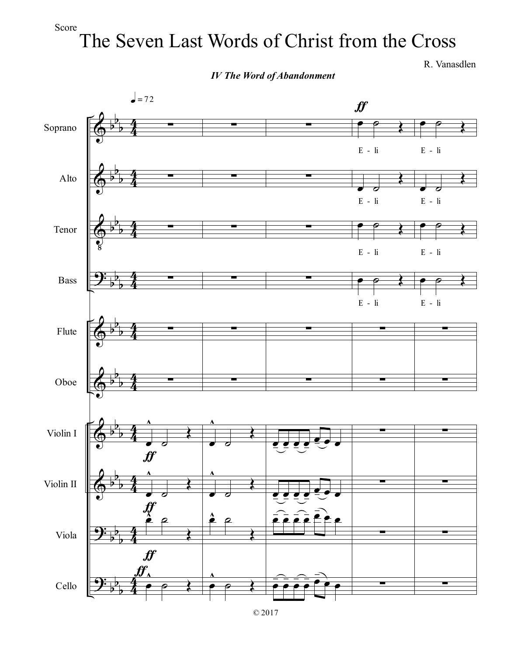## The Seven Last Words of Christ from the Cross

## *IV The Word of Abandonment*

R. Vanasdlen

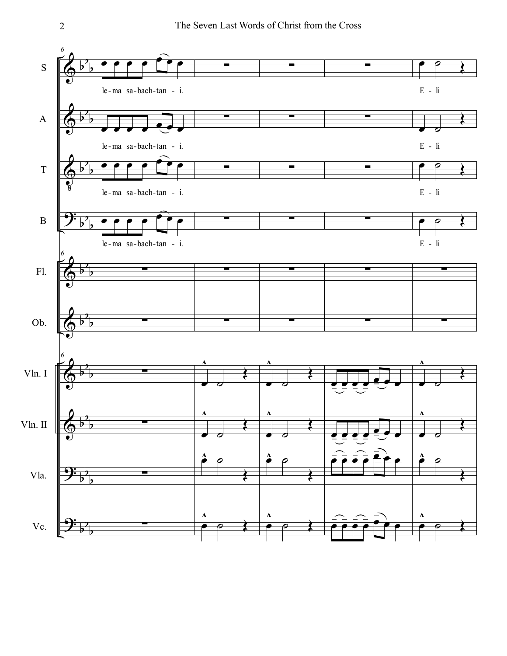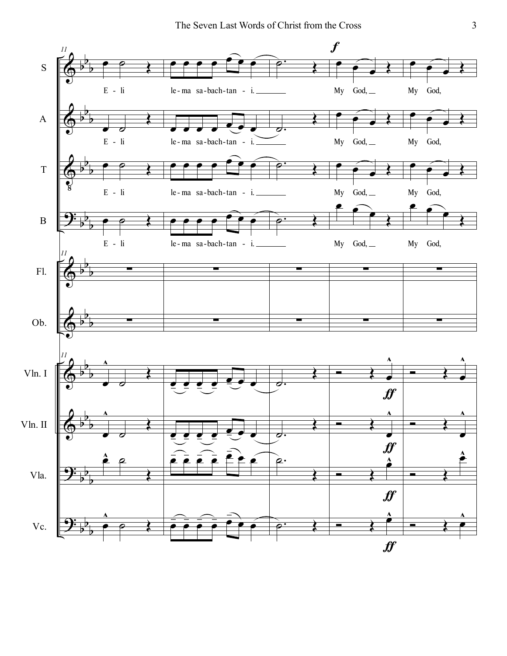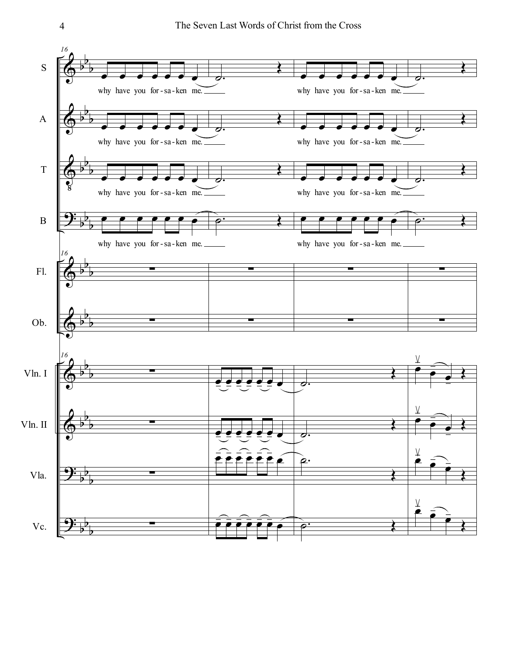

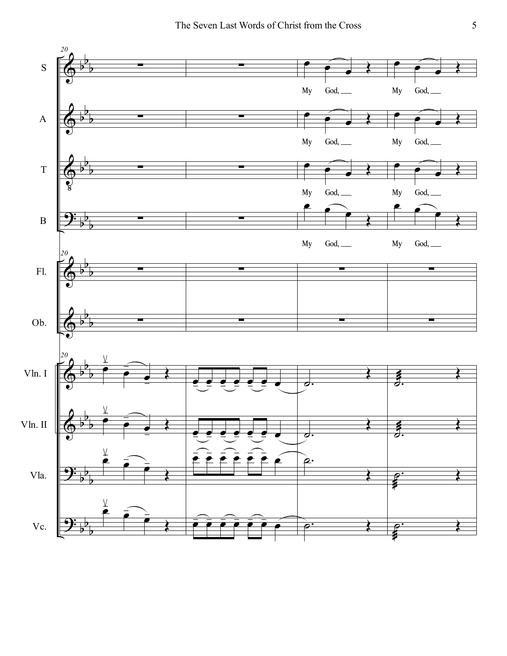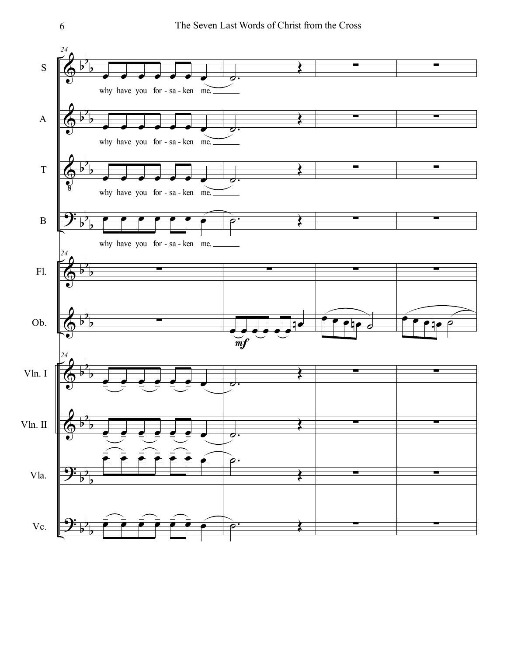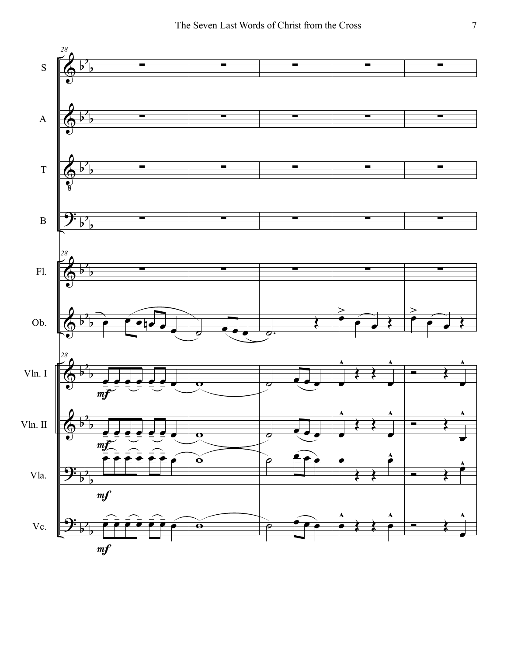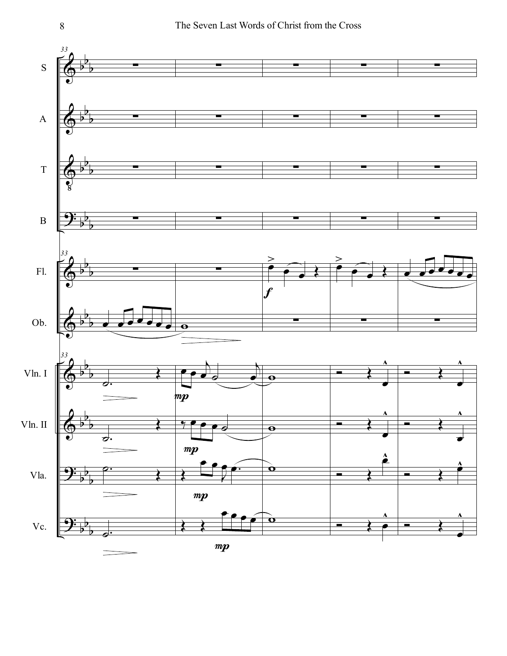

 $\eta p$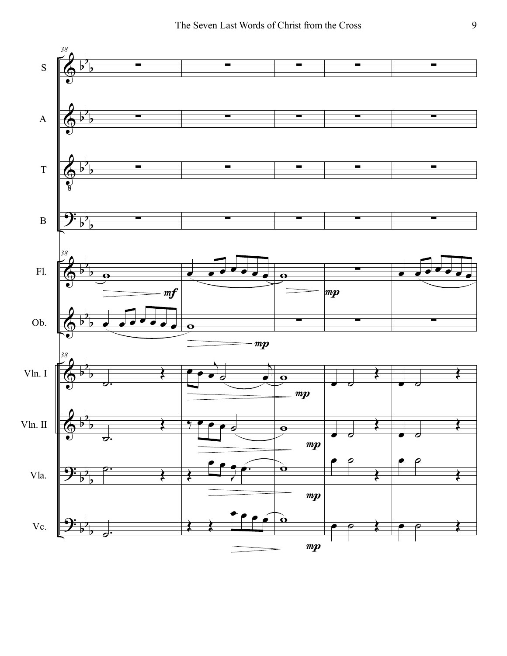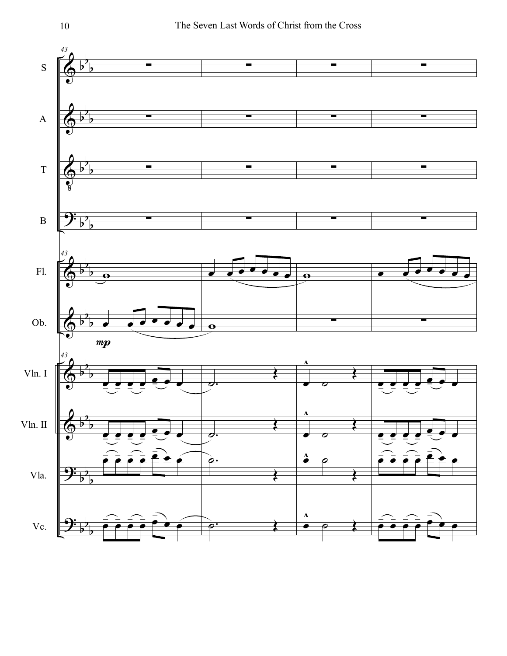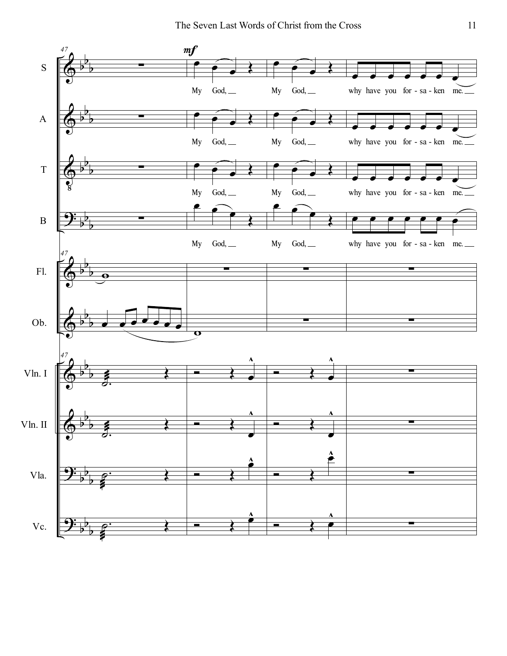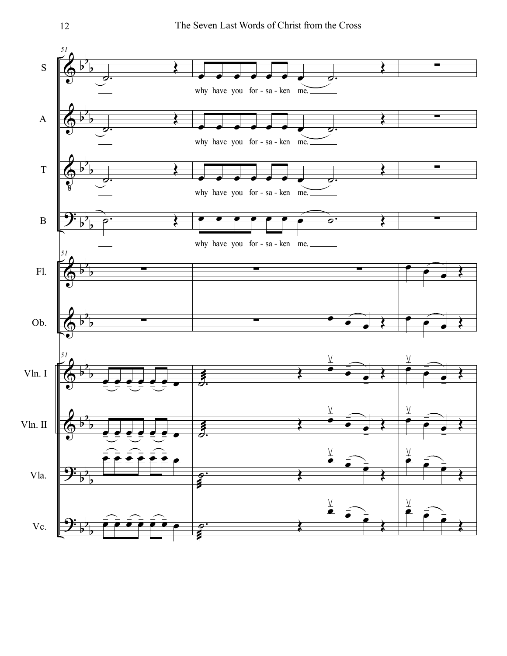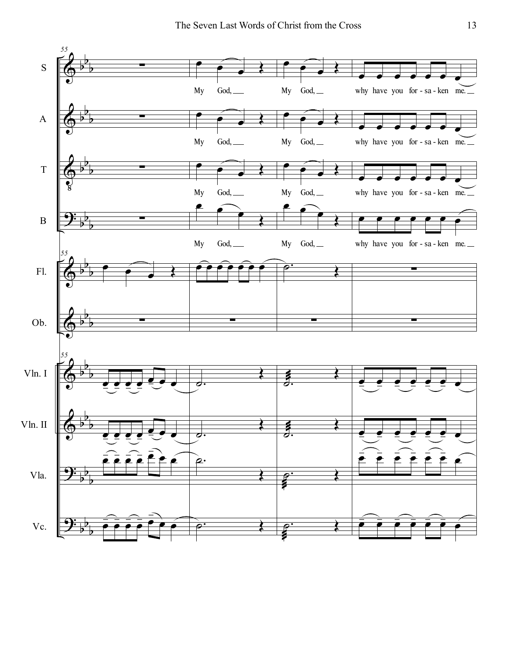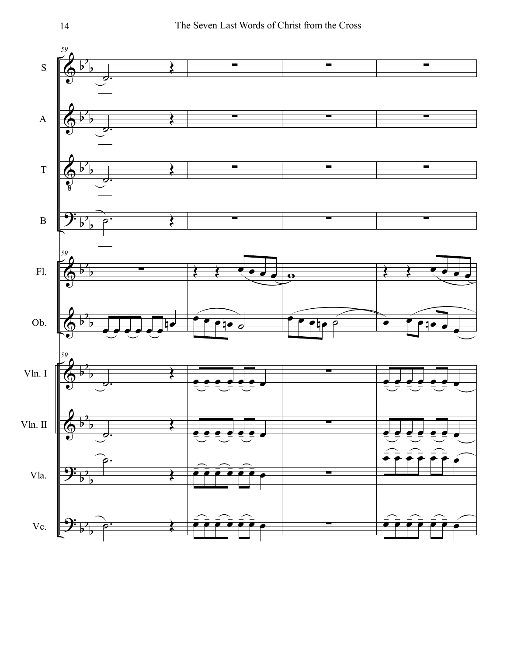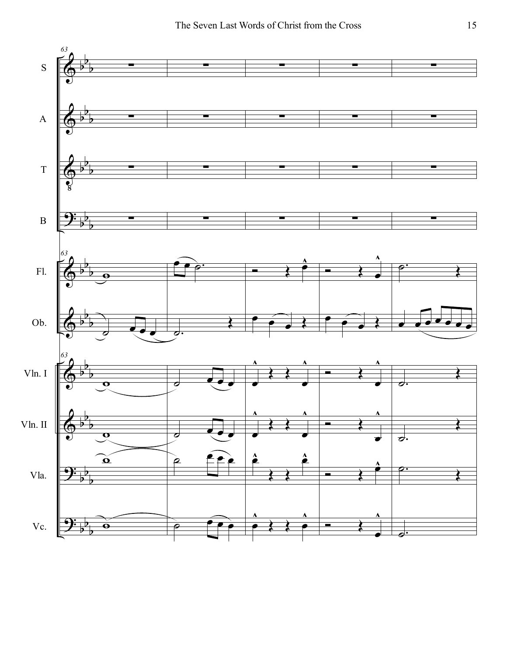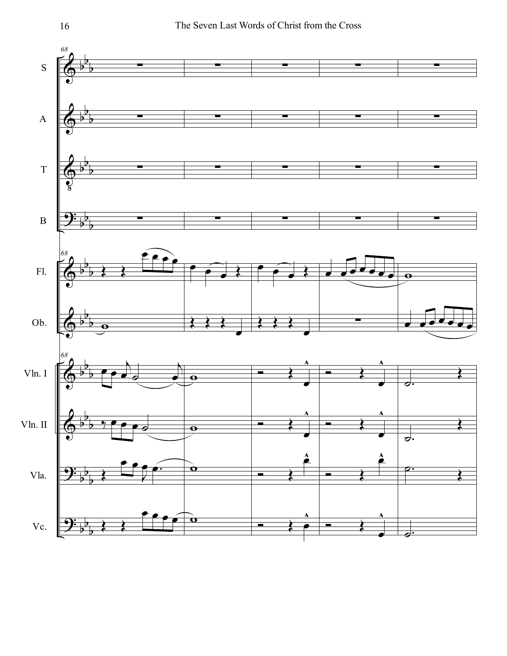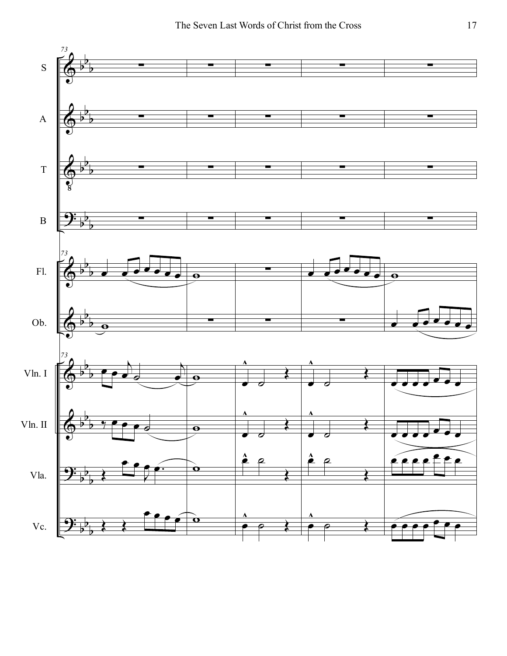